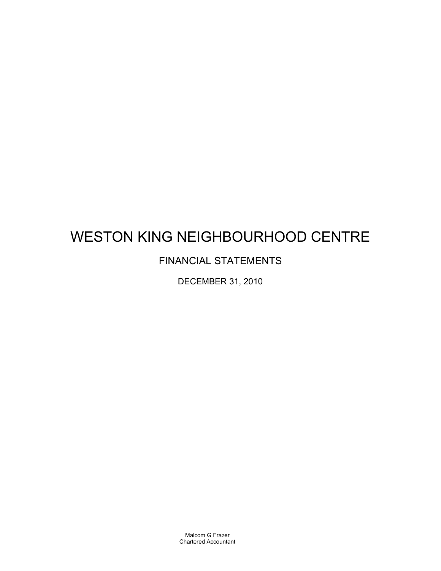# WESTON KING NEIGHBOURHOOD CENTRE

## FINANCIAL STATEMENTS

DECEMBER 31, 2010

Malcom G Frazer Chartered Accountant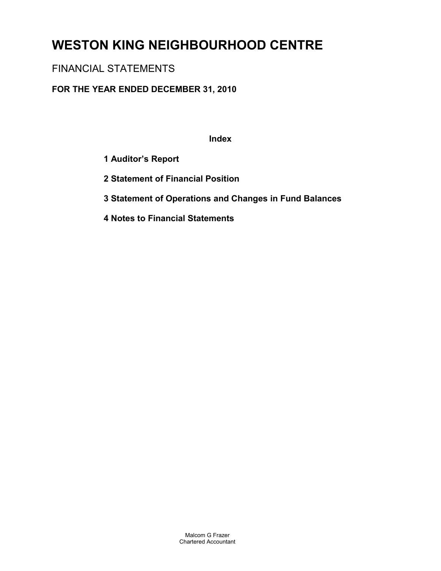# **WESTON KING NEIGHBOURHOOD CENTRE**

## FINANCIAL STATEMENTS

## **FOR THE YEAR ENDED DECEMBER 31, 2010**

**Index**

- **1 Auditor's Report**
- **2 Statement of Financial Position**
- **3 Statement of Operations and Changes in Fund Balances**
- **4 Notes to Financial Statements**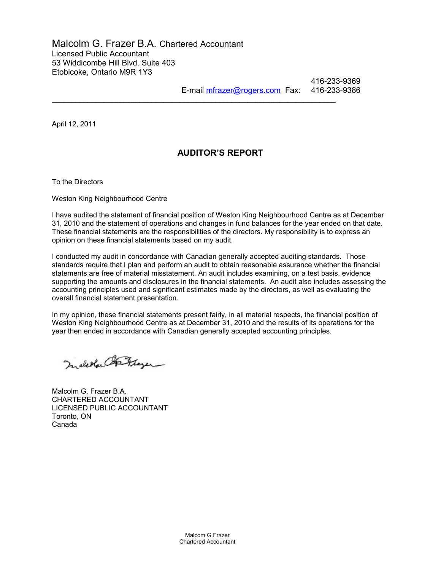## Malcolm G. Frazer B.A. Chartered Accountant Licensed Public Accountant 53 Widdicombe Hill Blvd. Suite 403 Etobicoke, Ontario M9R 1Y3

416-233-9369 E-mail [mfrazer@rogers.com](mailto:mfrazer@rogers.com) Fax: 416-233-9386

April 12, 2011

## **AUDITOR'S REPORT**

 $\mathcal{L}_\text{max}$  , and the set of the set of the set of the set of the set of the set of the set of the set of the set of the set of the set of the set of the set of the set of the set of the set of the set of the set of the

To the Directors

Weston King Neighbourhood Centre

I have audited the statement of financial position of Weston King Neighbourhood Centre as at December 31, 2010 and the statement of operations and changes in fund balances for the year ended on that date. These financial statements are the responsibilities of the directors. My responsibility is to express an opinion on these financial statements based on my audit.

I conducted my audit in concordance with Canadian generally accepted auditing standards. Those standards require that I plan and perform an audit to obtain reasonable assurance whether the financial statements are free of material misstatement. An audit includes examining, on a test basis, evidence supporting the amounts and disclosures in the financial statements. An audit also includes assessing the accounting principles used and significant estimates made by the directors, as well as evaluating the overall financial statement presentation.

In my opinion, these financial statements present fairly, in all material respects, the financial position of Weston King Neighbourhood Centre as at December 31, 2010 and the results of its operations for the year then ended in accordance with Canadian generally accepted accounting principles.

Inderful Fitzger

Malcolm G. Frazer B.A. CHARTERED ACCOUNTANT LICENSED PUBLIC ACCOUNTANT Toronto, ON Canada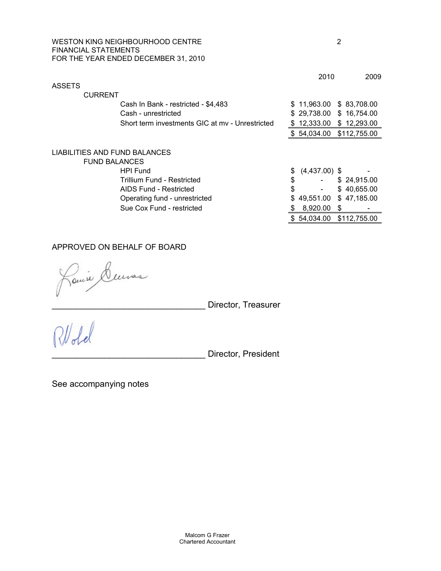### WESTON KING NEIGHBOURHOOD CENTRE 2 FINANCIAL STATEMENTS FOR THE YEAR ENDED DECEMBER 31, 2010

|                                                 | 2010                  | 2009         |
|-------------------------------------------------|-----------------------|--------------|
| <b>ASSETS</b>                                   |                       |              |
| <b>CURRENT</b>                                  |                       |              |
| Cash In Bank - restricted - \$4,483             | \$11,963.00           | \$ 83,708.00 |
| Cash - unrestricted                             | \$29,738.00           | \$16,754.00  |
| Short term investments GIC at my - Unrestricted | \$<br>12,333.00       | \$12,293.00  |
|                                                 | \$54,034.00           | \$112,755.00 |
| LIABILITIES AND FUND BALANCES                   |                       |              |
| <b>FUND BALANCES</b>                            |                       |              |
| <b>HPI Fund</b>                                 | \$<br>$(4,437.00)$ \$ |              |
| Trillium Fund - Restricted                      | \$                    | \$24,915.00  |
| AIDS Fund - Restricted                          | \$                    | \$40,655.00  |
| Operating fund - unrestricted                   | \$<br>49,551.00       | \$47,185.00  |
| Sue Cox Fund - restricted                       | 8.920.00              | \$           |
|                                                 | \$54,034.00           | \$112,755.00 |

## APPROVED ON BEHALF OF BOARD

luras Janse

Director, Treasurer

Director, President

See accompanying notes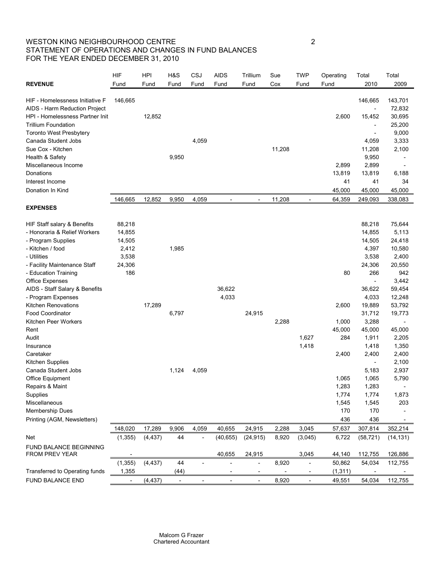## WESTON KING NEIGHBOURHOOD CENTRE 2 STATEMENT OF OPERATIONS AND CHANGES IN FUND BALANCES FOR THE YEAR ENDED DECEMBER 31, 2010

|                                          | <b>HIF</b>               | <b>HPI</b> | H&S                      | CSJ   | <b>AIDS</b>              | Trillium                 | Sue    | <b>TWP</b>                   | Operating | Total                    | Total     |
|------------------------------------------|--------------------------|------------|--------------------------|-------|--------------------------|--------------------------|--------|------------------------------|-----------|--------------------------|-----------|
| <b>REVENUE</b>                           | Fund                     | Fund       | Fund                     | Fund  | Fund                     | Fund                     | Cox    | Fund                         | Fund      | 2010                     | 2009      |
|                                          |                          |            |                          |       |                          |                          |        |                              |           |                          |           |
| HIF - Homelessness Initiative F          | 146,665                  |            |                          |       |                          |                          |        |                              |           | 146,665                  | 143,701   |
| AIDS - Harm Reduction Project            |                          |            |                          |       |                          |                          |        |                              |           | $\overline{\phantom{a}}$ | 72,832    |
| HPI - Homelessness Partner Init          |                          | 12,852     |                          |       |                          |                          |        |                              | 2,600     | 15,452                   | 30,695    |
| <b>Trillium Foundation</b>               |                          |            |                          |       |                          |                          |        |                              |           | $\overline{\phantom{a}}$ | 25,200    |
| <b>Toronto West Presbytery</b>           |                          |            |                          |       |                          |                          |        |                              |           | $\overline{\phantom{a}}$ | 9,000     |
| Canada Student Jobs                      |                          |            |                          | 4,059 |                          |                          |        |                              |           | 4,059                    | 3,333     |
| Sue Cox - Kitchen                        |                          |            |                          |       |                          |                          | 11,208 |                              |           | 11,208                   | 2,100     |
| Health & Safety                          |                          |            | 9,950                    |       |                          |                          |        |                              |           | 9,950                    |           |
| Miscellaneous Income                     |                          |            |                          |       |                          |                          |        |                              | 2,899     | 2,899                    |           |
| Donations                                |                          |            |                          |       |                          |                          |        |                              | 13,819    | 13,819                   | 6,188     |
| Interest Income                          |                          |            |                          |       |                          |                          |        |                              | 41        | 41                       | 34        |
| Donation In Kind                         |                          |            |                          |       |                          |                          |        |                              | 45,000    | 45,000                   | 45,000    |
|                                          | 146,665                  | 12,852     | 9,950                    | 4,059 |                          |                          | 11,208 |                              | 64,359    | 249,093                  | 338,083   |
| <b>EXPENSES</b>                          |                          |            |                          |       |                          |                          |        |                              |           |                          |           |
|                                          |                          |            |                          |       |                          |                          |        |                              |           |                          |           |
| HIF Staff salary & Benefits              | 88,218                   |            |                          |       |                          |                          |        |                              |           | 88,218                   | 75,644    |
| - Honoraria & Relief Workers             | 14,855                   |            |                          |       |                          |                          |        |                              |           | 14,855                   | 5,113     |
| - Program Supplies                       | 14,505                   |            |                          |       |                          |                          |        |                              |           | 14,505                   | 24,418    |
| - Kitchen / food                         | 2,412                    |            | 1,985                    |       |                          |                          |        |                              |           | 4,397                    | 10,580    |
| - Utilities                              | 3,538                    |            |                          |       |                          |                          |        |                              |           | 3,538                    | 2,400     |
| - Facility Maintenance Staff             | 24,306                   |            |                          |       |                          |                          |        |                              |           | 24,306                   | 20,550    |
| - Education Training                     | 186                      |            |                          |       |                          |                          |        |                              | 80        | 266                      | 942       |
| Office Expenses                          |                          |            |                          |       |                          |                          |        |                              |           | $\overline{\phantom{a}}$ | 3,442     |
| AIDS - Staff Salary & Benefits           |                          |            |                          |       | 36,622                   |                          |        |                              |           | 36,622                   | 59,454    |
| - Program Expenses                       |                          |            |                          |       | 4,033                    |                          |        |                              |           | 4,033                    | 12,248    |
| <b>Kitchen Renovations</b>               |                          | 17,289     |                          |       |                          |                          |        |                              | 2,600     | 19,889                   | 53,792    |
| <b>Food Coordinator</b>                  |                          |            | 6,797                    |       |                          | 24,915                   |        |                              |           | 31,712                   | 19,773    |
| Kitchen Peer Workers                     |                          |            |                          |       |                          |                          | 2,288  |                              | 1,000     | 3,288                    |           |
| Rent                                     |                          |            |                          |       |                          |                          |        |                              | 45,000    | 45,000                   | 45,000    |
| Audit                                    |                          |            |                          |       |                          |                          |        | 1,627                        | 284       | 1,911                    | 2,205     |
| Insurance                                |                          |            |                          |       |                          |                          |        | 1,418                        |           | 1,418                    | 1,350     |
| Caretaker                                |                          |            |                          |       |                          |                          |        |                              | 2,400     | 2,400                    | 2,400     |
| <b>Kitchen Supplies</b>                  |                          |            |                          |       |                          |                          |        |                              |           | $\overline{\phantom{a}}$ | 2,100     |
| Canada Student Jobs                      |                          |            | 1,124                    | 4,059 |                          |                          |        |                              |           | 5,183                    | 2,937     |
| Office Equipment                         |                          |            |                          |       |                          |                          |        |                              | 1,065     | 1,065                    | 5,790     |
| Repairs & Maint                          |                          |            |                          |       |                          |                          |        |                              | 1,283     | 1,283                    |           |
| Supplies                                 |                          |            |                          |       |                          |                          |        |                              | 1,774     | 1,774                    | 1,873     |
| Miscellaneous                            |                          |            |                          |       |                          |                          |        |                              | 1,545     | 1,545                    | 203       |
| <b>Membership Dues</b>                   |                          |            |                          |       |                          |                          |        |                              | 170       | 170                      |           |
| Printing (AGM, Newsletters)              |                          |            |                          |       |                          |                          |        |                              | 436       | 436                      |           |
|                                          |                          |            |                          |       |                          |                          |        |                              |           |                          |           |
|                                          | 148,020                  | 17,289     | 9,906                    | 4,059 | 40,655                   | 24,915                   | 2,288  | 3,045                        | 57,637    | 307,814                  | 352,214   |
| Net                                      | (1, 355)                 | (4, 437)   | 44                       |       | (40, 655)                | (24, 915)                | 8,920  | (3,045)                      | 6,722     | (58, 721)                | (14, 131) |
| FUND BALANCE BEGINNING<br>FROM PREV YEAR |                          |            |                          |       | 40,655                   | 24,915                   |        | 3,045                        | 44,140    | 112,755                  | 126,886   |
|                                          | (1, 355)                 | (4, 437)   | 44                       |       |                          | $\overline{\phantom{a}}$ | 8,920  | $\qquad \qquad \blacksquare$ | 50,862    | 54,034                   | 112,755   |
| Transferred to Operating funds           | 1,355                    |            | (44)                     |       |                          |                          |        |                              | (1, 311)  |                          |           |
| FUND BALANCE END                         | $\overline{\phantom{a}}$ | (4, 437)   | $\overline{\phantom{a}}$ |       | $\overline{\phantom{a}}$ | $\overline{\phantom{a}}$ | 8,920  | $\overline{a}$               | 49,551    | 54,034                   | 112,755   |